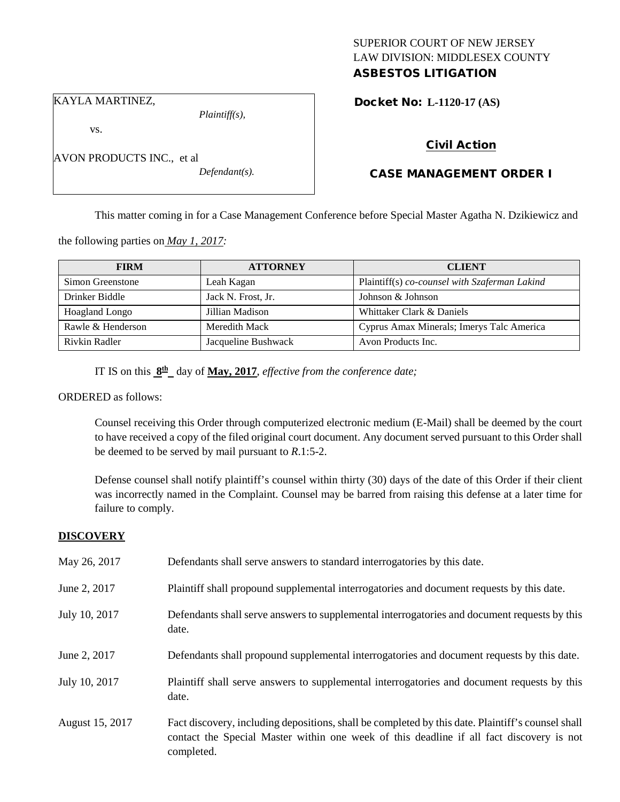## SUPERIOR COURT OF NEW JERSEY LAW DIVISION: MIDDLESEX COUNTY ASBESTOS LITIGATION

KAYLA MARTINEZ,

vs.

AVON PRODUCTS INC., et al

*Defendant(s).*

*Plaintiff(s),*

Docket No: **L-1120-17 (AS)** 

# Civil Action

# CASE MANAGEMENT ORDER I

This matter coming in for a Case Management Conference before Special Master Agatha N. Dzikiewicz and

the following parties on *May 1, 2017:*

| <b>FIRM</b>       | <b>ATTORNEY</b>     | <b>CLIENT</b>                                 |
|-------------------|---------------------|-----------------------------------------------|
| Simon Greenstone  | Leah Kagan          | Plaintiff(s) co-counsel with Szaferman Lakind |
| Drinker Biddle    | Jack N. Frost, Jr.  | Johnson & Johnson                             |
| Hoagland Longo    | Jillian Madison     | Whittaker Clark & Daniels                     |
| Rawle & Henderson | Meredith Mack       | Cyprus Amax Minerals; Imerys Talc America     |
| Rivkin Radler     | Jacqueline Bushwack | Avon Products Inc.                            |

IT IS on this **8th** day of **May, 2017**, *effective from the conference date;*

ORDERED as follows:

Counsel receiving this Order through computerized electronic medium (E-Mail) shall be deemed by the court to have received a copy of the filed original court document. Any document served pursuant to this Order shall be deemed to be served by mail pursuant to *R*.1:5-2.

Defense counsel shall notify plaintiff's counsel within thirty (30) days of the date of this Order if their client was incorrectly named in the Complaint. Counsel may be barred from raising this defense at a later time for failure to comply.

## **DISCOVERY**

| May 26, 2017    | Defendants shall serve answers to standard interrogatories by this date.                                                                                                                                    |
|-----------------|-------------------------------------------------------------------------------------------------------------------------------------------------------------------------------------------------------------|
| June 2, 2017    | Plaintiff shall propound supplemental interrogatories and document requests by this date.                                                                                                                   |
| July 10, 2017   | Defendants shall serve answers to supplemental interrogatories and document requests by this<br>date.                                                                                                       |
| June 2, 2017    | Defendants shall propound supplemental interrogatories and document requests by this date.                                                                                                                  |
| July 10, 2017   | Plaintiff shall serve answers to supplemental interrogatories and document requests by this<br>date.                                                                                                        |
| August 15, 2017 | Fact discovery, including depositions, shall be completed by this date. Plaintiff's counsel shall<br>contact the Special Master within one week of this deadline if all fact discovery is not<br>completed. |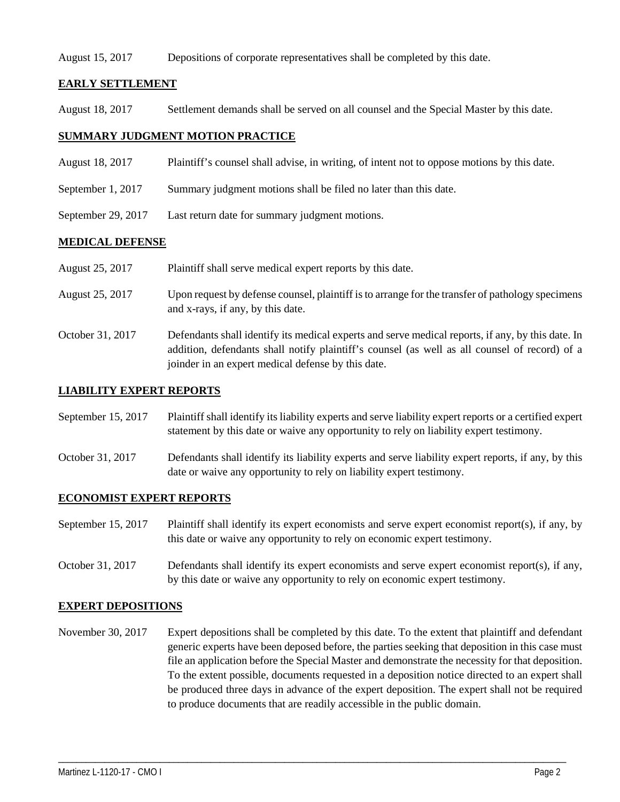#### August 15, 2017 Depositions of corporate representatives shall be completed by this date.

## **EARLY SETTLEMENT**

August 18, 2017 Settlement demands shall be served on all counsel and the Special Master by this date.

### **SUMMARY JUDGMENT MOTION PRACTICE**

- August 18, 2017 Plaintiff's counsel shall advise, in writing, of intent not to oppose motions by this date.
- September 1, 2017 Summary judgment motions shall be filed no later than this date.
- September 29, 2017 Last return date for summary judgment motions.

### **MEDICAL DEFENSE**

| August 25, 2017 | Plaintiff shall serve medical expert reports by this date. |  |
|-----------------|------------------------------------------------------------|--|
|                 |                                                            |  |

- August 25, 2017 Upon request by defense counsel, plaintiff is to arrange for the transfer of pathology specimens and x-rays, if any, by this date.
- October 31, 2017 Defendants shall identify its medical experts and serve medical reports, if any, by this date. In addition, defendants shall notify plaintiff's counsel (as well as all counsel of record) of a joinder in an expert medical defense by this date.

### **LIABILITY EXPERT REPORTS**

September 15, 2017 Plaintiff shall identify its liability experts and serve liability expert reports or a certified expert statement by this date or waive any opportunity to rely on liability expert testimony.

October 31, 2017 Defendants shall identify its liability experts and serve liability expert reports, if any, by this date or waive any opportunity to rely on liability expert testimony.

#### **ECONOMIST EXPERT REPORTS**

September 15, 2017 Plaintiff shall identify its expert economists and serve expert economist report(s), if any, by this date or waive any opportunity to rely on economic expert testimony.

October 31, 2017 Defendants shall identify its expert economists and serve expert economist report(s), if any, by this date or waive any opportunity to rely on economic expert testimony.

#### **EXPERT DEPOSITIONS**

November 30, 2017 Expert depositions shall be completed by this date. To the extent that plaintiff and defendant generic experts have been deposed before, the parties seeking that deposition in this case must file an application before the Special Master and demonstrate the necessity for that deposition. To the extent possible, documents requested in a deposition notice directed to an expert shall be produced three days in advance of the expert deposition. The expert shall not be required to produce documents that are readily accessible in the public domain.

\_\_\_\_\_\_\_\_\_\_\_\_\_\_\_\_\_\_\_\_\_\_\_\_\_\_\_\_\_\_\_\_\_\_\_\_\_\_\_\_\_\_\_\_\_\_\_\_\_\_\_\_\_\_\_\_\_\_\_\_\_\_\_\_\_\_\_\_\_\_\_\_\_\_\_\_\_\_\_\_\_\_\_\_\_\_\_\_\_\_\_\_\_\_\_\_\_\_\_\_\_\_\_\_\_\_\_\_\_\_